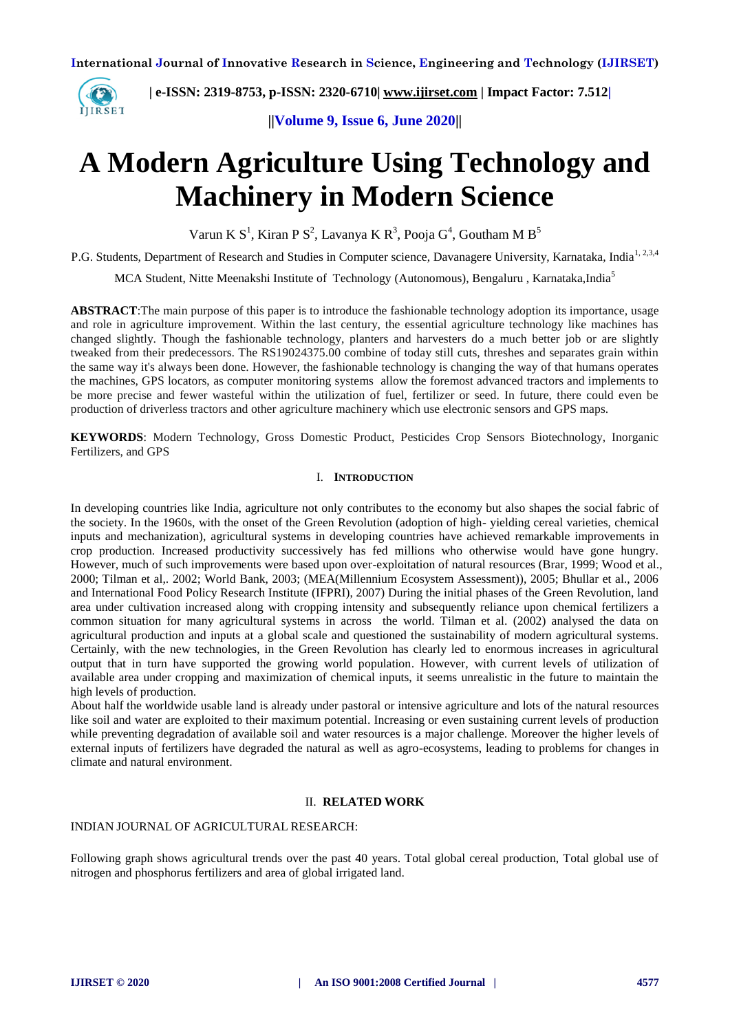

 **| e-ISSN: 2319-8753, p-ISSN: 2320-6710| [www.ijirset.com](http://www.ijirset.com/) | Impact Factor: 7.512|**

**||Volume 9, Issue 6, June 2020||** 

# **A Modern Agriculture Using Technology and Machinery in Modern Science**

Varun K  $S^1$ , Kiran P  $S^2$ , Lavanya K  $R^3$ , Pooja  $G^4$ , Goutham M  $B^5$ 

P.G. Students, Department of Research and Studies in Computer science, Davanagere University, Karnataka, India<sup>1, 2,3,4</sup>

MCA Student, Nitte Meenakshi Institute of Technology (Autonomous), Bengaluru, Karnataka,India<sup>5</sup>

**ABSTRACT**:The main purpose of this paper is to introduce the fashionable technology adoption its importance, usage and role in agriculture improvement. Within the last century, the essential agriculture technology like machines has changed slightly. Though the fashionable technology, planters and harvesters do a much better job or are slightly tweaked from their predecessors. The RS19024375.00 combine of today still cuts, threshes and separates grain within the same way it's always been done. However, the fashionable technology is changing the way of that humans operates the machines, GPS locators, as computer monitoring systems allow the foremost advanced tractors and implements to be more precise and fewer wasteful within the utilization of fuel, fertilizer or seed. In future, there could even be production of driverless tractors and other agriculture machinery which use electronic sensors and GPS maps.

**KEYWORDS**: Modern Technology, Gross Domestic Product, Pesticides Crop Sensors Biotechnology, Inorganic Fertilizers, and GPS

## I. **INTRODUCTION**

In developing countries like India, agriculture not only contributes to the economy but also shapes the social fabric of the society. In the 1960s, with the onset of the Green Revolution (adoption of high- yielding cereal varieties, chemical inputs and mechanization), agricultural systems in developing countries have achieved remarkable improvements in crop production. Increased productivity successively has fed millions who otherwise would have gone hungry. However, much of such improvements were based upon over-exploitation of natural resources (Brar, 1999; Wood et al., 2000; Tilman et al,. 2002; World Bank, 2003; (MEA(Millennium Ecosystem Assessment)), 2005; Bhullar et al., 2006 and International Food Policy Research Institute (IFPRI), 2007) During the initial phases of the Green Revolution, land area under cultivation increased along with cropping intensity and subsequently reliance upon chemical fertilizers a common situation for many agricultural systems in across the world. Tilman et al. (2002) analysed the data on agricultural production and inputs at a global scale and questioned the sustainability of modern agricultural systems. Certainly, with the new technologies, in the Green Revolution has clearly led to enormous increases in agricultural output that in turn have supported the growing world population. However, with current levels of utilization of available area under cropping and maximization of chemical inputs, it seems unrealistic in the future to maintain the high levels of production.

About half the worldwide usable land is already under pastoral or intensive agriculture and lots of the natural resources like soil and water are exploited to their maximum potential. Increasing or even sustaining current levels of production while preventing degradation of available soil and water resources is a major challenge. Moreover the higher levels of external inputs of fertilizers have degraded the natural as well as agro-ecosystems, leading to problems for changes in climate and natural environment.

### II. **RELATED WORK**

## INDIAN JOURNAL OF AGRICULTURAL RESEARCH:

Following graph shows agricultural trends over the past 40 years. Total global cereal production, Total global use of nitrogen and phosphorus fertilizers and area of global irrigated land.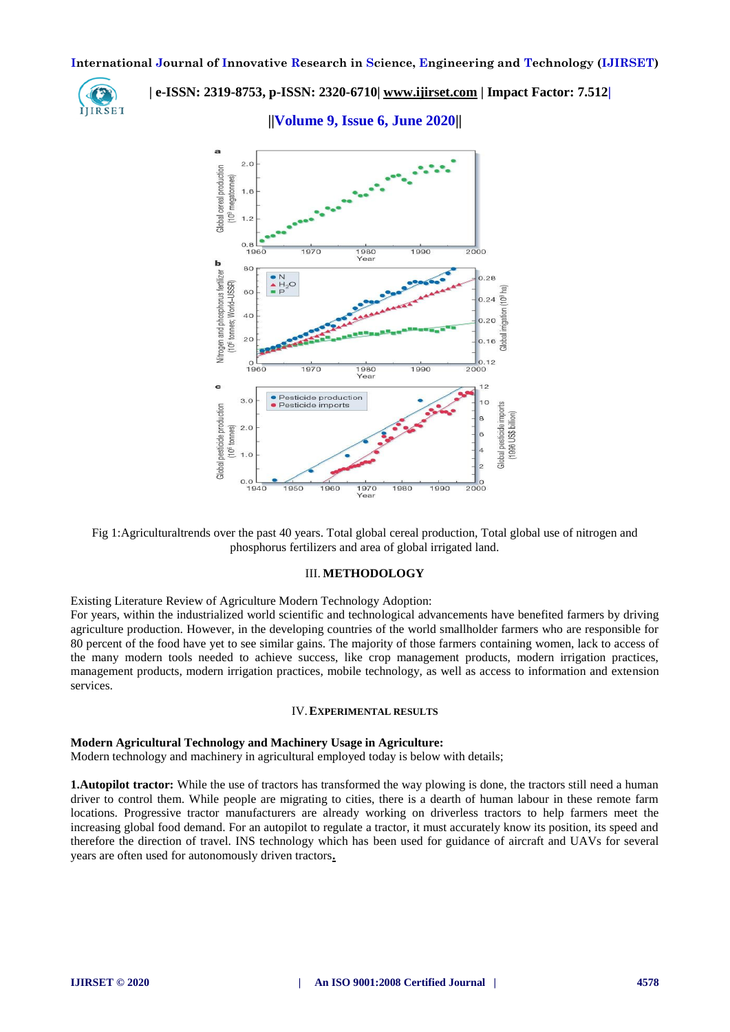

 **| e-ISSN: 2319-8753, p-ISSN: 2320-6710| [www.ijirset.com](http://www.ijirset.com/) | Impact Factor: 7.512|**

**||Volume 9, Issue 6, June 2020||** 



Fig 1:Agriculturaltrends over the past 40 years. Total global cereal production, Total global use of nitrogen and phosphorus fertilizers and area of global irrigated land.

#### III. **METHODOLOGY**

Existing Literature Review of Agriculture Modern Technology Adoption:

For years, within the industrialized world scientific and technological advancements have benefited farmers by driving agriculture production. However, in the developing countries of the world smallholder farmers who are responsible for 80 percent of the food have yet to see similar gains. The majority of those farmers containing women, lack to access of the many modern tools needed to achieve success, like crop management products, modern irrigation practices, management products, modern irrigation practices, mobile technology, as well as access to information and extension services.

#### IV.**EXPERIMENTAL RESULTS**

#### **Modern Agricultural Technology and Machinery Usage in Agriculture:**

Modern technology and machinery in agricultural employed today is below with details;

**1.Autopilot tractor:** While the use of tractors has transformed the way plowing is done, the tractors still need a human driver to control them. While people are migrating to cities, there is a dearth of human labour in these remote farm locations. Progressive tractor manufacturers are already working on driverless tractors to help farmers meet the increasing global food demand. For an autopilot to regulate a tractor, it must accurately know its position, its speed and therefore the direction of travel. INS technology which has been used for guidance of aircraft and UAVs for several years are often used for autonomously driven tractors**.**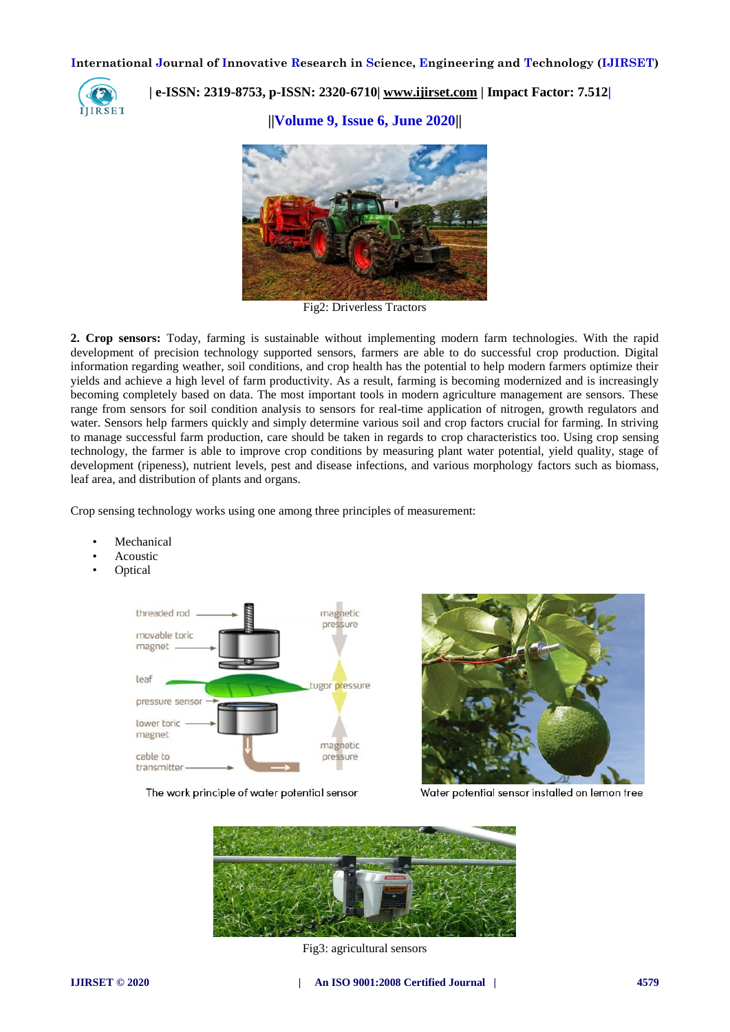

 **| e-ISSN: 2319-8753, p-ISSN: 2320-6710| [www.ijirset.com](http://www.ijirset.com/) | Impact Factor: 7.512|**

**||Volume 9, Issue 6, June 2020||** 



Fig2: Driverless Tractors

**2. Crop sensors:** Today, farming is sustainable without implementing modern farm technologies. With the rapid development of precision technology supported sensors, farmers are able to do successful crop production. Digital information regarding weather, soil conditions, and crop health has the potential to help modern farmers optimize their yields and achieve a high level of farm productivity. As a result, farming is becoming modernized and is increasingly becoming completely based on data. The most important tools in modern agriculture management are sensors. These range from sensors for soil condition analysis to sensors for real-time application of nitrogen, growth regulators and water. Sensors help farmers quickly and simply determine various soil and crop factors crucial for farming. In striving to manage successful farm production, care should be taken in regards to crop characteristics too. Using crop sensing technology, the farmer is able to improve crop conditions by measuring plant water potential, yield quality, stage of development (ripeness), nutrient levels, pest and disease infections, and various morphology factors such as biomass, leaf area, and distribution of plants and organs.

Crop sensing technology works using one among three principles of measurement:

- **Mechanical**
- **Acoustic**
- Optical



The work principle of water potential sensor



Water potential sensor installed on lemon tree



Fig3: agricultural sensors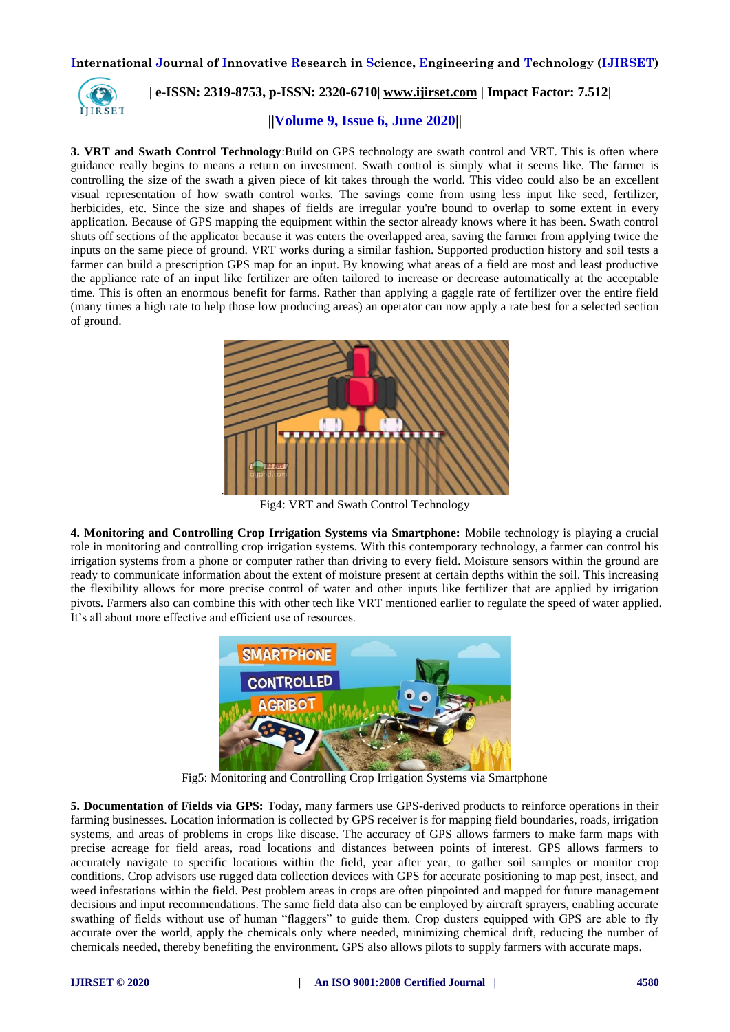

 **| e-ISSN: 2319-8753, p-ISSN: 2320-6710| [www.ijirset.com](http://www.ijirset.com/) | Impact Factor: 7.512|**

## **||Volume 9, Issue 6, June 2020||**

**3. VRT and Swath Control Technology**:Build on GPS technology are swath control and VRT. This is often where guidance really begins to means a return on investment. Swath control is simply what it seems like. The farmer is controlling the size of the swath a given piece of kit takes through the world. This video could also be an excellent visual representation of how swath control works. The savings come from using less input like seed, fertilizer, herbicides, etc. Since the size and shapes of fields are irregular you're bound to overlap to some extent in every application. Because of GPS mapping the equipment within the sector already knows where it has been. Swath control shuts off sections of the applicator because it was enters the overlapped area, saving the farmer from applying twice the inputs on the same piece of ground. VRT works during a similar fashion. Supported production history and soil tests a farmer can build a prescription GPS map for an input. By knowing what areas of a field are most and least productive the appliance rate of an input like fertilizer are often tailored to increase or decrease automatically at the acceptable time. This is often an enormous benefit for farms. Rather than applying a gaggle rate of fertilizer over the entire field (many times a high rate to help those low producing areas) an operator can now apply a rate best for a selected section of ground.



Fig4: VRT and Swath Control Technology

**4. Monitoring and Controlling Crop Irrigation Systems via Smartphone:** Mobile technology is playing a crucial role in monitoring and controlling crop irrigation systems. With this contemporary technology, a farmer can control his irrigation systems from a phone or computer rather than driving to every field. Moisture sensors within the ground are ready to communicate information about the extent of moisture present at certain depths within the soil. This increasing the flexibility allows for more precise control of water and other inputs like fertilizer that are applied by irrigation pivots. Farmers also can combine this with other tech like VRT mentioned earlier to regulate the speed of water applied. It's all about more effective and efficient use of resources.



Fig5: Monitoring and Controlling Crop Irrigation Systems via Smartphone

**5. Documentation of Fields via GPS:** Today, many farmers use GPS-derived products to reinforce operations in their farming businesses. Location information is collected by GPS receiver is for mapping field boundaries, roads, irrigation systems, and areas of problems in crops like disease. The accuracy of GPS allows farmers to make farm maps with precise acreage for field areas, road locations and distances between points of interest. GPS allows farmers to accurately navigate to specific locations within the field, year after year, to gather soil samples or monitor crop conditions. Crop advisors use rugged data collection devices with GPS for accurate positioning to map pest, insect, and weed infestations within the field. Pest problem areas in crops are often pinpointed and mapped for future management decisions and input recommendations. The same field data also can be employed by aircraft sprayers, enabling accurate swathing of fields without use of human "flaggers" to guide them. Crop dusters equipped with GPS are able to fly accurate over the world, apply the chemicals only where needed, minimizing chemical drift, reducing the number of chemicals needed, thereby benefiting the environment. GPS also allows pilots to supply farmers with accurate maps.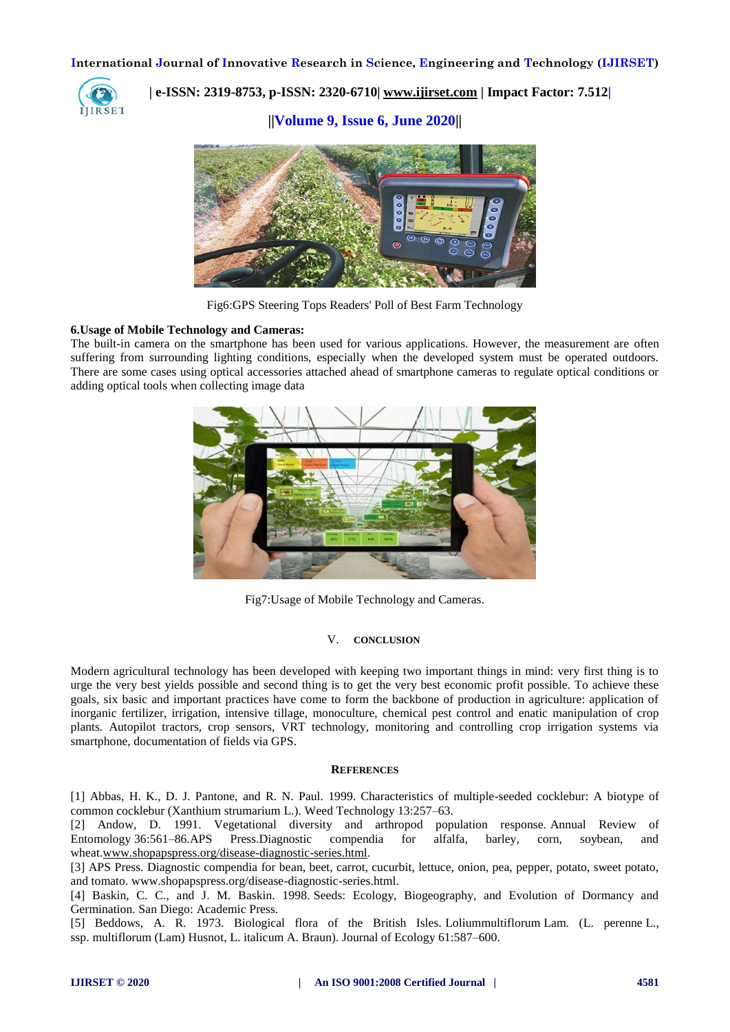

 **| e-ISSN: 2319-8753, p-ISSN: 2320-6710| [www.ijirset.com](http://www.ijirset.com/) | Impact Factor: 7.512|**

**||Volume 9, Issue 6, June 2020||** 



Fig6[:GPS Steering Tops Readers' Poll of Best Farm Technology](https://www.google.com/url?sa=i&url=http%3A%2F%2Fletsgrowtogether.ws%2Fgps-steering-tops-readers-poll-of-best-farm-technology%2F&psig=AOvVaw20gCHwMhM-GcKgDa0DTuRB&ust=1592318633800000&source=images&cd=vfe&ved=0CA0QjhxqFwoTCMi_g8uHhOoCFQAAAAAdAAAAABAD)

## **6.Usage of Mobile Technology and Cameras:**

The built-in camera on the smartphone has been used for various applications. However, the measurement are often suffering from surrounding lighting conditions, especially when the developed system must be operated outdoors. There are some cases using optical accessories attached ahead of smartphone cameras to regulate optical conditions or adding optical tools when collecting image data



Fig7:Usage of Mobile Technology and Cameras.

## V. **CONCLUSION**

Modern agricultural technology has been developed with keeping two important things in mind: very first thing is to urge the very best yields possible and second thing is to get the very best economic profit possible. To achieve these goals, six basic and important practices have come to form the backbone of production in agriculture: application of inorganic fertilizer, irrigation, intensive tillage, monoculture, chemical pest control and enatic manipulation of crop plants. Autopilot tractors, crop sensors, VRT technology, monitoring and controlling crop irrigation systems via smartphone, documentation of fields via GPS.

#### **REFERENCES**

[1] Abbas, H. K., D. J. Pantone, and R. N. Paul. 1999. Characteristics of multiple-seeded cocklebur: A biotype of common cocklebur (Xanthium strumarium L.). Weed Technology 13:257–63.

[2] Andow, D. 1991. Vegetational diversity and arthropod population response. Annual Review of Entomology 36:561–86.APS Press.Diagnostic compendia for alfalfa, barley, corn, soybean, and wheat[.www.shopapspress.org/disease-diagnostic-series.html.](http://www.shopapspress.org/disease-diagnostic-series.html)

[3] APS Press. Diagnostic compendia for bean, beet, carrot, cucurbit, lettuce, onion, pea, pepper, potato, sweet potato, and tomato. www.shopapspress.org/disease-diagnostic-series.html.

[4] Baskin, C. C., and J. M. Baskin. 1998. Seeds: Ecology, Biogeography, and Evolution of Dormancy and Germination. San Diego: Academic Press.

[5] Beddows, A. R. 1973. Biological flora of the British Isles. Loliummultiflorum Lam. (L. perenne L., ssp. multiflorum (Lam) Husnot, L. italicum A. Braun). Journal of Ecology 61:587–600.